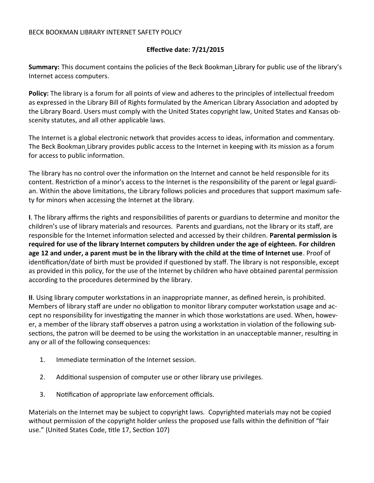## **Effective date: 7/21/2015**

**Summary:** This document contains the policies of the Beck Bookman Library for public use of the library's Internet access computers.

**Policy:** The library is a forum for all points of view and adheres to the principles of intellectual freedom as expressed in the Library Bill of Rights formulated by the American Library Association and adopted by the Library Board. Users must comply with the United States copyright law, United States and Kansas obscenity statutes, and all other applicable laws.

The Internet is a global electronic network that provides access to ideas, information and commentary. The Beck Bookman Library provides public access to the Internet in keeping with its mission as a forum for access to public information.

The library has no control over the information on the Internet and cannot be held responsible for its content. Restriction of a minor's access to the Internet is the responsibility of the parent or legal guardian. Within the above limitations, the Library follows policies and procedures that support maximum safety for minors when accessing the Internet at the library.

**I**. The library affirms the rights and responsibilities of parents or guardians to determine and monitor the children's use of library materials and resources. Parents and guardians, not the library or its staff, are responsible for the Internet information selected and accessed by their children. **Parental permission is required for use of the library Internet computers by children under the age of eighteen. For children age 12 and under, a parent must be in the library with the child at the time of Internet use**. Proof of identification/date of birth must be provided if questioned by staff. The library is not responsible, except as provided in this policy, for the use of the Internet by children who have obtained parental permission according to the procedures determined by the library.

**II**. Using library computer workstations in an inappropriate manner, as defined herein, is prohibited. Members of library staff are under no obligation to monitor library computer workstation usage and accept no responsibility for investigating the manner in which those workstations are used. When, however, a member of the library staff observes a patron using a workstation in violation of the following subsections, the patron will be deemed to be using the workstation in an unacceptable manner, resulting in any or all of the following consequences:

- 1. Immediate termination of the Internet session.
- 2. Additional suspension of computer use or other library use privileges.
- 3. Notification of appropriate law enforcement officials.

Materials on the Internet may be subject to copyright laws. Copyrighted materials may not be copied without permission of the copyright holder unless the proposed use falls within the definition of "fair use." (United States Code, title 17, Section 107)